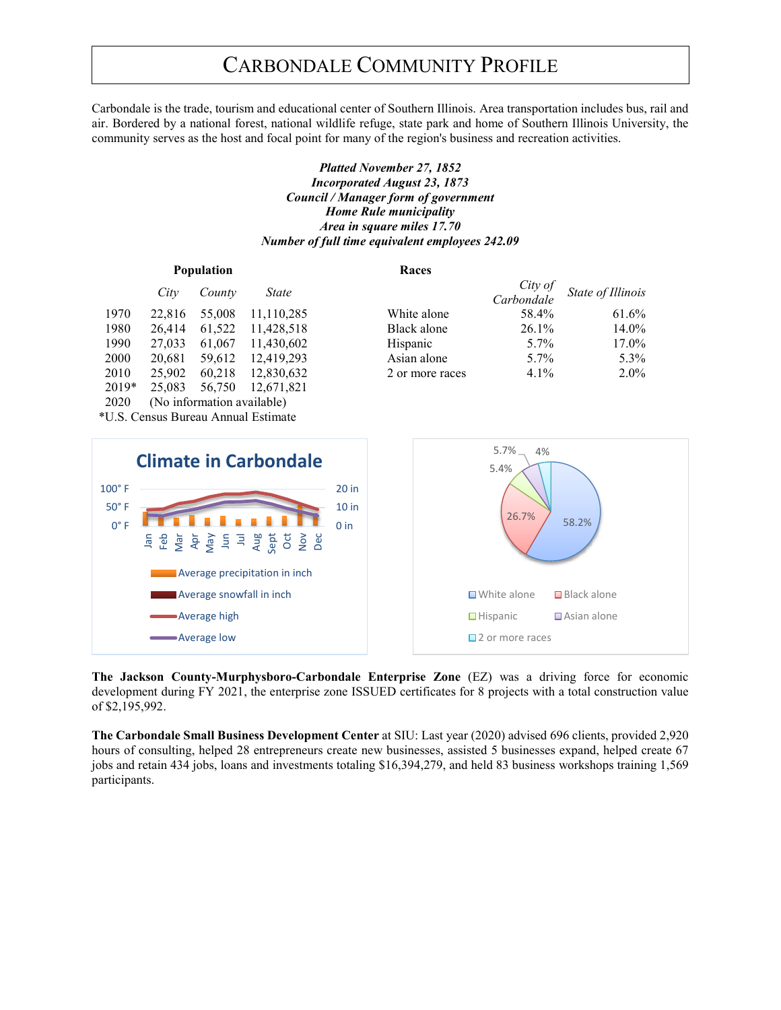Carbondale is the trade, tourism and educational center of Southern Illinois. Area transportation includes bus, rail and air. Bordered by a national forest, national wildlife refuge, state park and home of Southern Illinois University, the community serves as the host and focal point for many of the region's business and recreation activities.

### *Platted November 27, 1852 Incorporated August 23, 1873 Council / Manager form of government Home Rule municipality Area in square miles 17.70 Number of full time equivalent employees 242.09*

| <b>Population</b> |                            |        |            | Races           |                       |                   |
|-------------------|----------------------------|--------|------------|-----------------|-----------------------|-------------------|
|                   | City                       | County | State      |                 | City of<br>Carbondale | State of Illinois |
| 1970              | 22,816                     | 55,008 | 11,110,285 | White alone     | 58.4%                 | 61.6%             |
| 1980              | 26,414                     | 61,522 | 11.428.518 | Black alone     | $26.1\%$              | 14.0%             |
| 1990              | 27,033                     | 61,067 | 11,430,602 | Hispanic        | $5.7\%$               | 17.0%             |
| 2000              | 20,681                     | 59.612 | 12.419.293 | Asian alone     | $5.7\%$               | 5.3%              |
| 2010              | 25,902                     | 60,218 | 12,830,632 | 2 or more races | $4.1\%$               | $2.0\%$           |
| 2019*             | 25,083                     | 56,750 | 12,671,821 |                 |                       |                   |
| 2020              | (No information available) |        |            |                 |                       |                   |

\*U.S. Census Bureau Annual Estimate



**The Jackson County-Murphysboro-Carbondale Enterprise Zone** (EZ) was a driving force for economic development during FY 2021, the enterprise zone ISSUED certificates for 8 projects with a total construction value of \$2,195,992.

**The Carbondale Small Business Development Center** at SIU: Last year (2020) advised 696 clients, provided 2,920 hours of consulting, helped 28 entrepreneurs create new businesses, assisted 5 businesses expand, helped create 67 jobs and retain 434 jobs, loans and investments totaling \$16,394,279, and held 83 business workshops training 1,569 participants.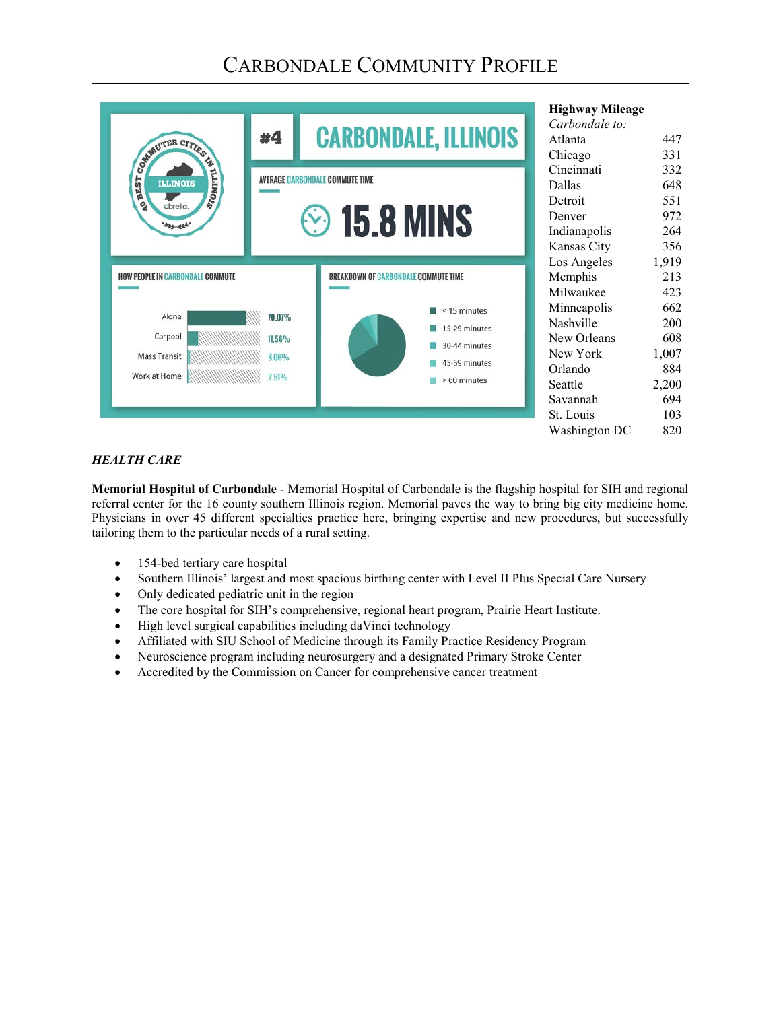|                                         |        |                                             | <b>Highway Mileage</b>    |       |
|-----------------------------------------|--------|---------------------------------------------|---------------------------|-------|
| COMMUTER CITIES                         | #4     | <b>CARBONDALE, ILLINOIS</b>                 | Carbondale to:<br>Atlanta | 447   |
|                                         |        |                                             | Chicago                   | 331   |
|                                         |        |                                             | Cincinnati                | 332   |
| STONITIL                                |        | <b>AVERAGE CARBONDALE COMMUTE TIME</b>      | Dallas                    | 648   |
|                                         |        |                                             | Detroit                   | 551   |
|                                         |        | <b><sup>⊙</sup>15.8 MINS</b>                | Denver                    | 972   |
| <b>Day of C</b>                         |        |                                             | Indianapolis              | 264   |
|                                         |        |                                             | Kansas City               | 356   |
|                                         |        |                                             | Los Angeles               | 1,919 |
| <b>HOW PEOPLE IN CARBONDALE COMMUTE</b> |        | <b>BREAKDOWN OF CARBONDALE COMMUTE TIME</b> | Memphis                   | 213   |
|                                         |        |                                             | Milwaukee                 | 423   |
| Alone                                   | 70.07% | <15 minutes                                 | Minneapolis               | 662   |
|                                         |        | 15-29 minutes                               | Nashville                 | 200   |
| Carpool                                 | 11.56% | 30-44 minutes                               | New Orleans               | 608   |
| <b>Mass Transit</b>                     | 3.06%  | 45-59 minutes                               | New York                  | 1,007 |
| Work at Home                            | 2.51%  |                                             | Orlando                   | 884   |
|                                         |        | > 60 minutes                                | Seattle                   | 2,200 |
|                                         |        |                                             | Savannah                  | 694   |
|                                         |        |                                             | St. Louis                 | 103   |
|                                         |        |                                             | Washington DC             | 820   |

## *HEALTH CARE*

**Memorial Hospital of Carbondale** - Memorial Hospital of Carbondale is the flagship hospital for SIH and regional referral center for the 16 county southern Illinois region. Memorial paves the way to bring big city medicine home. Physicians in over 45 different specialties practice here, bringing expertise and new procedures, but successfully tailoring them to the particular needs of a rural setting.

- 154-bed tertiary care hospital
- Southern Illinois' largest and most spacious birthing center with Level II Plus Special Care Nursery
- Only dedicated pediatric unit in the region
- The core hospital for SIH's comprehensive, regional heart program, Prairie Heart Institute.
- High level surgical capabilities including daVinci technology
- Affiliated with SIU School of Medicine through its Family Practice Residency Program
- Neuroscience program including neurosurgery and a designated Primary Stroke Center
- Accredited by the Commission on Cancer for comprehensive cancer treatment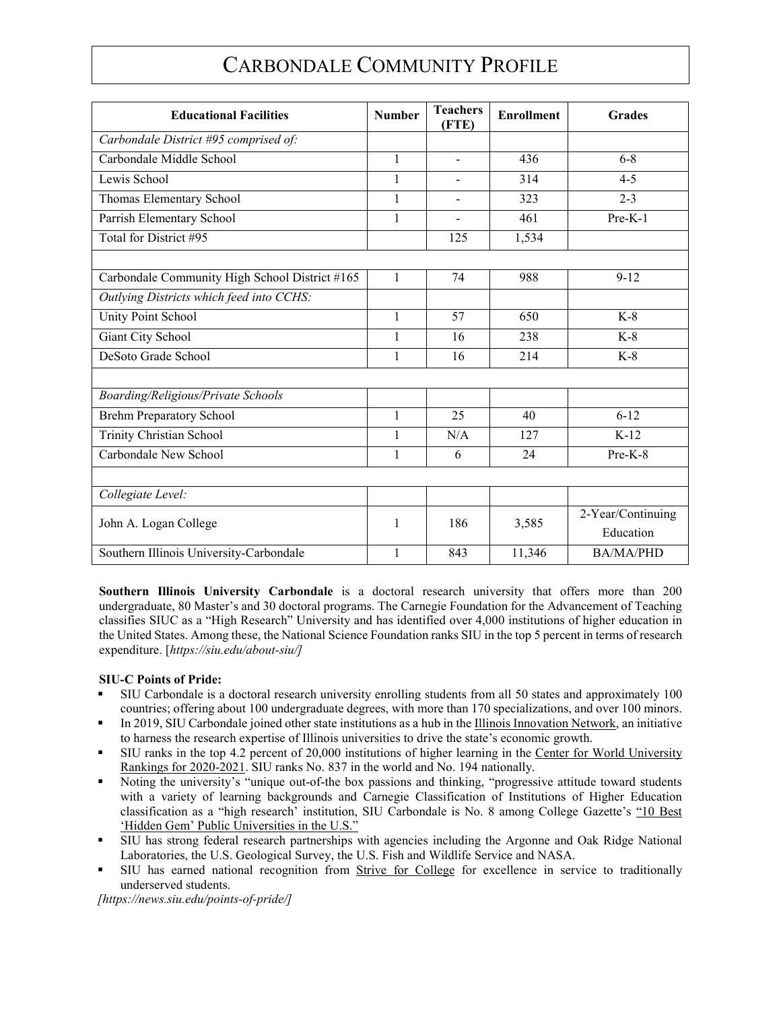| <b>Educational Facilities</b>                  | <b>Number</b> | <b>Teachers</b><br>(FTE) | <b>Enrollment</b> | Grades            |
|------------------------------------------------|---------------|--------------------------|-------------------|-------------------|
| Carbondale District #95 comprised of:          |               |                          |                   |                   |
| Carbondale Middle School                       | $\mathbf{1}$  | $\mathbf{r}$             | 436               | $6 - 8$           |
| Lewis School                                   | 1             |                          | 314               | $4 - 5$           |
| Thomas Elementary School                       | $\mathbf{1}$  |                          | 323               | $2 - 3$           |
| Parrish Elementary School                      | 1             | $\blacksquare$           | 461               | $Pre-K-1$         |
| Total for District #95                         |               | 125                      | 1,534             |                   |
|                                                |               |                          |                   |                   |
| Carbondale Community High School District #165 | $\mathbf{1}$  | 74                       | 988               | $9 - 12$          |
| Outlying Districts which feed into CCHS:       |               |                          |                   |                   |
| <b>Unity Point School</b>                      | 1             | 57                       | 650               | $K-8$             |
| Giant City School                              | 1             | 16                       | 238               | $K-8$             |
| DeSoto Grade School                            | $\mathbf{1}$  | 16                       | 214               | $K-8$             |
|                                                |               |                          |                   |                   |
| Boarding/Religious/Private Schools             |               |                          |                   |                   |
| <b>Brehm Preparatory School</b>                | $\mathbf{1}$  | 25                       | 40                | $6 - 12$          |
| Trinity Christian School                       | 1             | N/A                      | 127               | $K-12$            |
| Carbondale New School                          | 1             | 6                        | 24                | Pre-K-8           |
|                                                |               |                          |                   |                   |
| Collegiate Level:                              |               |                          |                   |                   |
| John A. Logan College                          | 1             | 186                      | 3,585             | 2-Year/Continuing |
|                                                |               |                          |                   | Education         |
| Southern Illinois University-Carbondale        | $\mathbf{1}$  | 843                      | 11,346            | <b>BA/MA/PHD</b>  |

**Southern Illinois University Carbondale** is a doctoral research university that offers more than 200 undergraduate, 80 Master's and 30 doctoral programs. The Carnegie Foundation for the Advancement of Teaching classifies SIUC as a "High Research" University and has identified over 4,000 institutions of higher education in the United States. Among these, the National Science Foundation ranks SIU in the top 5 percent in terms of research expenditure. [*https://siu.edu/about-siu/]*

### **SIU-C Points of Pride:**

- SIU Carbondale is a doctoral research university enrolling students from all 50 states and approximately 100 countries; offering about 100 undergraduate degrees, with more than 170 specializations, and over 100 minors.
- In 2019, SIU Carbondale joined other state institutions as a hub in the Illinois Innovation Network, an initiative to harness the research expertise of Illinois universities to drive the state's economic growth.
- If SIU ranks in the top 4.2 percent of 20,000 institutions of higher learning in the Center for World University Rankings for 2020-2021. SIU ranks No. 837 in the world and No. 194 nationally.
- Noting the university's "unique out-of-the box passions and thinking, "progressive attitude toward students with a variety of learning backgrounds and Carnegie Classification of Institutions of Higher Education classification as a "high research' institution, SIU Carbondale is No. 8 among College Gazette's "10 Best 'Hidden Gem' Public Universities in the U.S."
- SIU has strong federal research partnerships with agencies including the Argonne and Oak Ridge National Laboratories, the U.S. Geological Survey, the U.S. Fish and Wildlife Service and NASA.
- I SIU has earned national recognition from Strive for College for excellence in service to traditionally underserved students.

*[https://news.siu.edu/points-of-pride/]*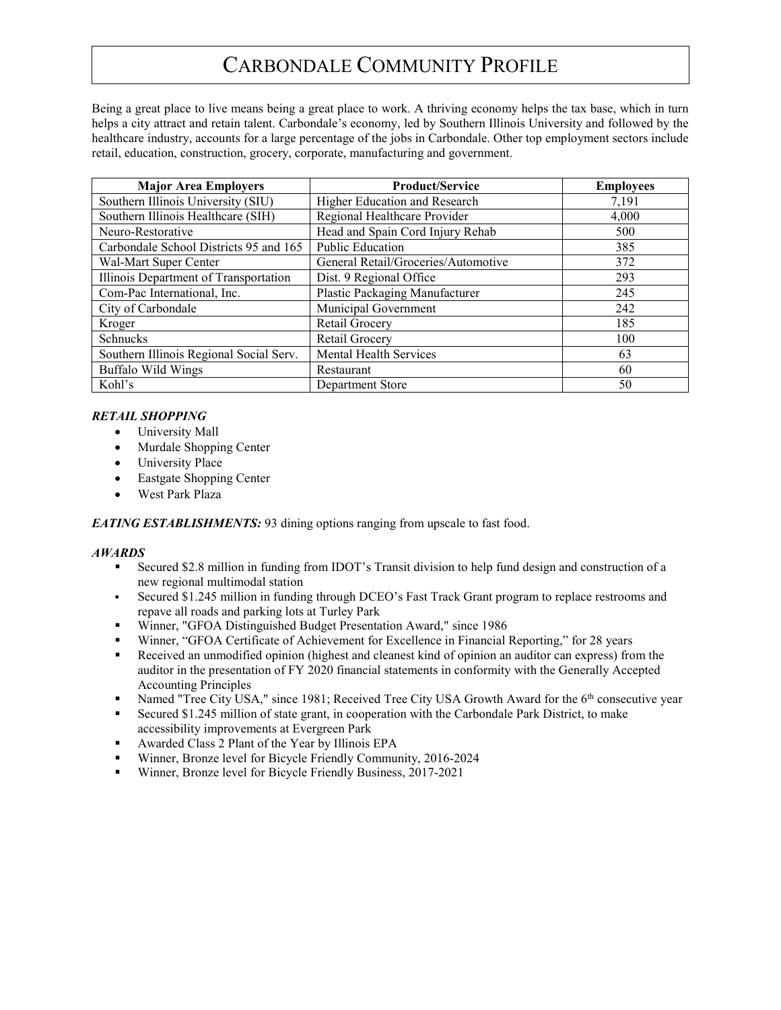Being a great place to live means being a great place to work. A thriving economy helps the tax base, which in turn helps a city attract and retain talent. Carbondale's economy, led by Southern Illinois University and followed by the healthcare industry, accounts for a large percentage of the jobs in Carbondale. Other top employment sectors include retail, education, construction, grocery, corporate, manufacturing and government.

| <b>Major Area Employers</b>             | <b>Product/Service</b>              | <b>Employees</b> |
|-----------------------------------------|-------------------------------------|------------------|
| Southern Illinois University (SIU)      | Higher Education and Research       | 7,191            |
| Southern Illinois Healthcare (SIH)      | Regional Healthcare Provider        | 4.000            |
| Neuro-Restorative                       | Head and Spain Cord Injury Rehab    | 500              |
| Carbondale School Districts 95 and 165  | Public Education                    | 385              |
| Wal-Mart Super Center                   | General Retail/Groceries/Automotive | 372              |
| Illinois Department of Transportation   | Dist. 9 Regional Office             | 293              |
| Com-Pac International, Inc.             | Plastic Packaging Manufacturer      | 245              |
| City of Carbondale                      | Municipal Government                | 242              |
| Kroger                                  | Retail Grocery                      | 185              |
| Schnucks                                | Retail Grocery                      | 100              |
| Southern Illinois Regional Social Serv. | Mental Health Services              | 63               |
| <b>Buffalo Wild Wings</b>               | Restaurant                          | 60               |
| Kohl's                                  | Department Store                    | 50               |

## *RETAIL SHOPPING*

- University Mall
- Murdale Shopping Center
- University Place
- Eastgate Shopping Center
- West Park Plaza

### *EATING ESTABLISHMENTS:* 93 dining options ranging from upscale to fast food.

### *AWARDS*

- Secured \$2.8 million in funding from IDOT's Transit division to help fund design and construction of a new regional multimodal station
- Secured \$1.245 million in funding through DCEO's Fast Track Grant program to replace restrooms and repave all roads and parking lots at Turley Park
- Winner, "GFOA Distinguished Budget Presentation Award," since 1986
- Winner, "GFOA Certificate of Achievement for Excellence in Financial Reporting," for 28 years
- Received an unmodified opinion (highest and cleanest kind of opinion an auditor can express) from the auditor in the presentation of FY 2020 financial statements in conformity with the Generally Accepted Accounting Principles
- Named "Tree City USA," since 1981; Received Tree City USA Growth Award for the  $6<sup>th</sup>$  consecutive year
- Secured \$1.245 million of state grant, in cooperation with the Carbondale Park District, to make accessibility improvements at Evergreen Park
- Awarded Class 2 Plant of the Year by Illinois EPA
- Winner, Bronze level for Bicycle Friendly Community, 2016-2024
- Winner, Bronze level for Bicycle Friendly Business, 2017-2021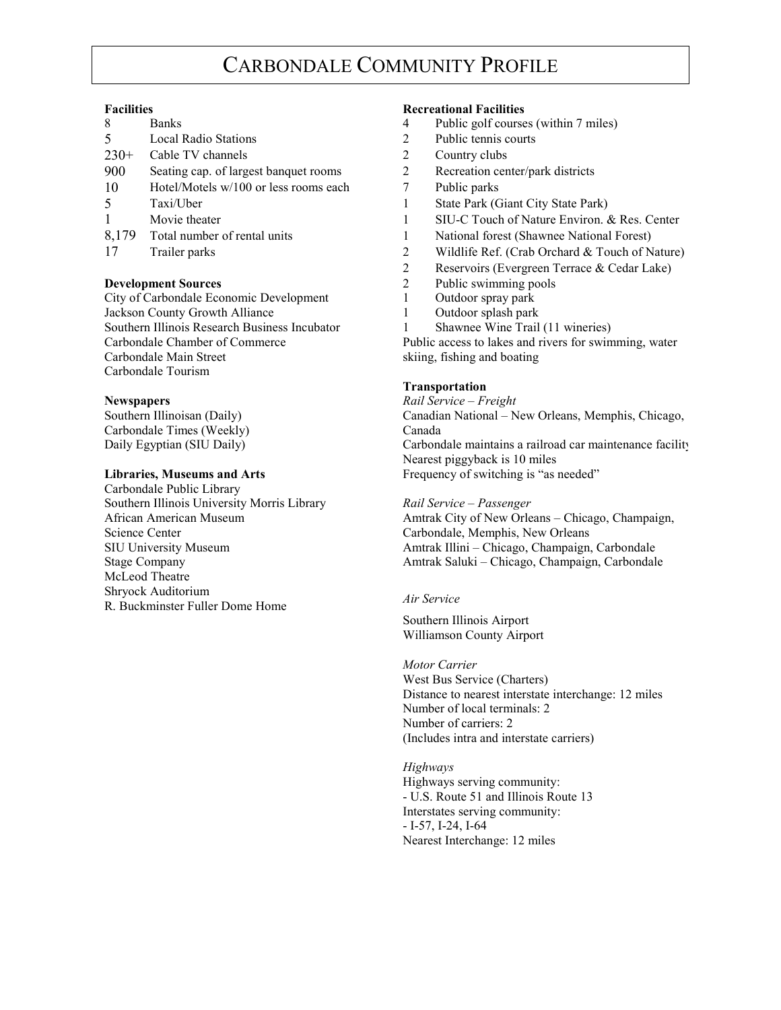| 8      | <b>Banks</b>                           |
|--------|----------------------------------------|
| 5      | <b>Local Radio Stations</b>            |
| $230+$ | Cable TV channels                      |
| 900    | Seating cap. of largest banquet rooms  |
| 10     | Hotel/Motels $w/100$ or less rooms ead |
| 5      | Taxi/Uber                              |
| 1      | Movie theater                          |
|        | 8,179 Total number of rental units     |
| 17     | Trailer parks                          |

**Development Sources**<br>
City of Carbondale Economic Development<br>
2 Public swimming pools<br>
2 Outdoor spray park City of Carbondale Economic Development 1 Jackson County Growth Alliance 1 Outdoor splash park Southern Illinois Research Business Incubator 1 Shawnee Wine Trail (11 wineries) Carbondale Tourism

Carbondale Times (Weekly) Canada

Carbondale Public Library Southern Illinois University Morris Library *Rail Service – Passenger* Science Center Center Carbondale, Memphis, New Orleans<br>SIU University Museum Amtrak Illini – Chicago, Champaign McLeod Theatre Shryock Auditorium R. Buckminster Fuller Dome Home *Air Service*

### **Facilities Recreational Facilities**

- 4 Public golf courses (within 7 miles)
- 2 Public tennis courts
- 2 Country clubs
- 2 Recreation center/park districts
- $2<sub>th</sub>$  7 Public parks
	- 1 State Park (Giant City State Park)
	- 1 SIU-C Touch of Nature Environ. & Res. Center
	- 1 National forest (Shawnee National Forest)
- 17 Trailer parks 2 Wildlife Ref. (Crab Orchard & Touch of Nature)
	- 2 Reservoirs (Evergreen Terrace & Cedar Lake)
	-
	-
	-
	-

Carbondale Chamber of Commerce Public access to lakes and rivers for swimming, water<br>Carbondale Main Street Skiing, fishing and boating skiing, fishing and boating

### **Transportation**

**Newspapers** *Rail Service – Freight*

Southern Illinoisan (Daily) Canadian National – New Orleans, Memphis, Chicago, Daily Egyptian (SIU Daily) Carbondale maintains a railroad car maintenance facility Nearest piggyback is 10 miles

**Libraries, Museums and Arts** Frequency of switching is "as needed"

African American Museum American Auseum Amtrak City of New Orleans – Chicago, Champaign,<br>
Science Center Carbondale, Memphis, New Orleans Amtrak Illini – Chicago, Champaign, Carbondale Stage Company Amtrak Saluki – Chicago, Champaign, Carbondale

Southern Illinois Airport Williamson County Airport

### *Motor Carrier*

West Bus Service (Charters) Distance to nearest interstate interchange: 12 miles Number of local terminals: 2 Number of carriers: 2 (Includes intra and interstate carriers)

*Highways* Highways serving community: - U.S. Route 51 and Illinois Route 13 Interstates serving community: - I-57, I-24, I-64 Nearest Interchange: 12 miles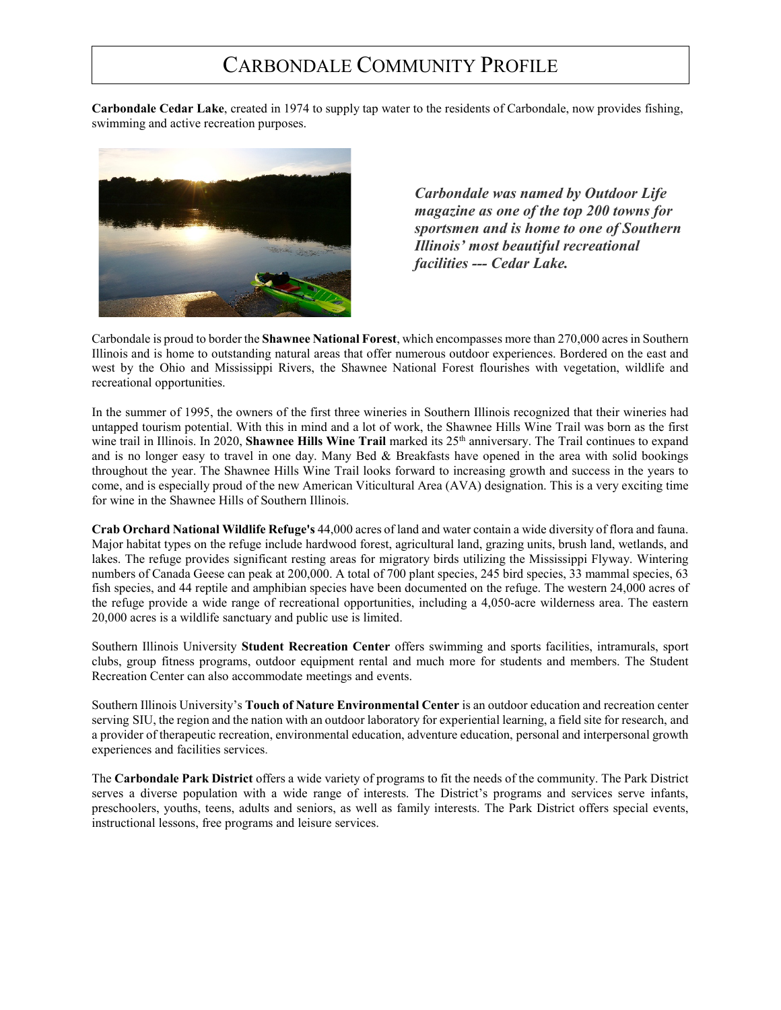**Carbondale Cedar Lake**, created in 1974 to supply tap water to the residents of Carbondale, now provides fishing, swimming and active recreation purposes.



*Carbondale was named by Outdoor Life magazine as one of the top 200 towns for sportsmen and is home to one of Southern Illinois' most beautiful recreational facilities --- Cedar Lake.*

Carbondale is proud to border the **Shawnee National Forest**, which encompasses more than 270,000 acres in Southern Illinois and is home to outstanding natural areas that offer numerous outdoor experiences. Bordered on the east and west by the Ohio and Mississippi Rivers, the Shawnee National Forest flourishes with vegetation, wildlife and recreational opportunities.

In the summer of 1995, the owners of the first three wineries in Southern Illinois recognized that their wineries had untapped tourism potential. With this in mind and a lot of work, the Shawnee Hills Wine Trail was born as the first wine trail in Illinois. In 2020, Shawnee Hills Wine Trail marked its 25<sup>th</sup> anniversary. The Trail continues to expand and is no longer easy to travel in one day. Many Bed & Breakfasts have opened in the area with solid bookings throughout the year. The Shawnee Hills Wine Trail looks forward to increasing growth and success in the years to come, and is especially proud of the new American Viticultural Area (AVA) designation. This is a very exciting time for wine in the Shawnee Hills of Southern Illinois.

**Crab Orchard National Wildlife Refuge's** 44,000 acres of land and water contain a wide diversity of flora and fauna. Major habitat types on the refuge include hardwood forest, agricultural land, grazing units, brush land, wetlands, and lakes. The refuge provides significant resting areas for migratory birds utilizing the Mississippi Flyway. Wintering numbers of Canada Geese can peak at 200,000. A total of 700 plant species, 245 bird species, 33 mammal species, 63 fish species, and 44 reptile and amphibian species have been documented on the refuge. The western 24,000 acres of the refuge provide a wide range of recreational opportunities, including a 4,050-acre wilderness area. The eastern 20,000 acres is a wildlife sanctuary and public use is limited.

Southern Illinois University **Student Recreation Center** offers swimming and sports facilities, intramurals, sport clubs, group fitness programs, outdoor equipment rental and much more for students and members. The Student Recreation Center can also accommodate meetings and events.

Southern Illinois University's **Touch of Nature Environmental Center** is an outdoor education and recreation center serving SIU, the region and the nation with an outdoor laboratory for experiential learning, a field site for research, and a provider of therapeutic recreation, environmental education, adventure education, personal and interpersonal growth experiences and facilities services.

The **Carbondale Park District** offers a wide variety of programs to fit the needs of the community. The Park District serves a diverse population with a wide range of interests. The District's programs and services serve infants, preschoolers, youths, teens, adults and seniors, as well as family interests. The Park District offers special events, instructional lessons, free programs and leisure services.